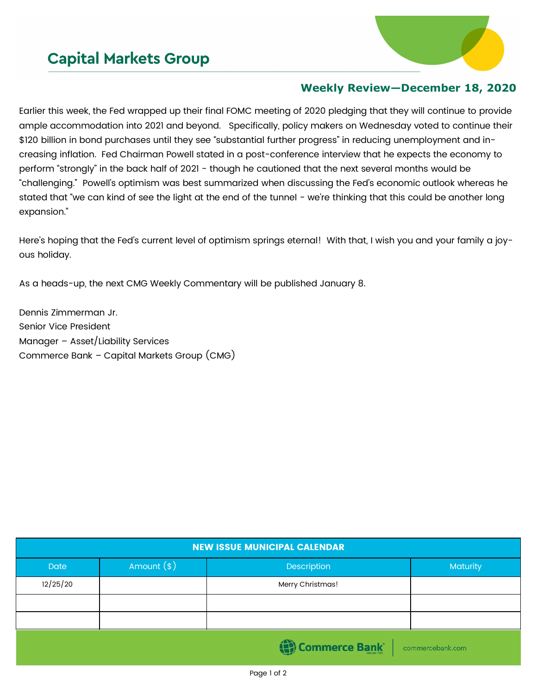## **Capital Markets Group**



## **Weekly Review—December 18, 2020**

Earlier this week, the Fed wrapped up their final FOMC meeting of 2020 pledging that they will continue to provide ample accommodation into 2021 and beyond. Specifically, policy makers on Wednesday voted to continue their \$120 billion in bond purchases until they see "substantial further progress" in reducing unemployment and increasing inflation. Fed Chairman Powell stated in a post-conference interview that he expects the economy to perform "strongly" in the back half of 2021 - though he cautioned that the next several months would be "challenging." Powell's optimism was best summarized when discussing the Fed's economic outlook whereas he stated that "we can kind of see the light at the end of the tunnel - we're thinking that this could be another long expansion."

Here's hoping that the Fed's current level of optimism springs eternal! With that, I wish you and your family a joyous holiday.

As a heads-up, the next CMG Weekly Commentary will be published January 8.

Dennis Zimmerman Jr. Senior Vice President Manager – Asset/Liability Services Commerce Bank – Capital Markets Group (CMG)

| <b>NEW ISSUE MUNICIPAL CALENDAR</b> |              |                  |          |  |  |  |  |
|-------------------------------------|--------------|------------------|----------|--|--|--|--|
| <b>Date</b>                         | Amount $(*)$ | Description      | Maturity |  |  |  |  |
| 12/25/20                            |              | Merry Christmas! |          |  |  |  |  |
|                                     |              |                  |          |  |  |  |  |
|                                     |              |                  |          |  |  |  |  |
| Commerce Bank<br>commercebank.com   |              |                  |          |  |  |  |  |